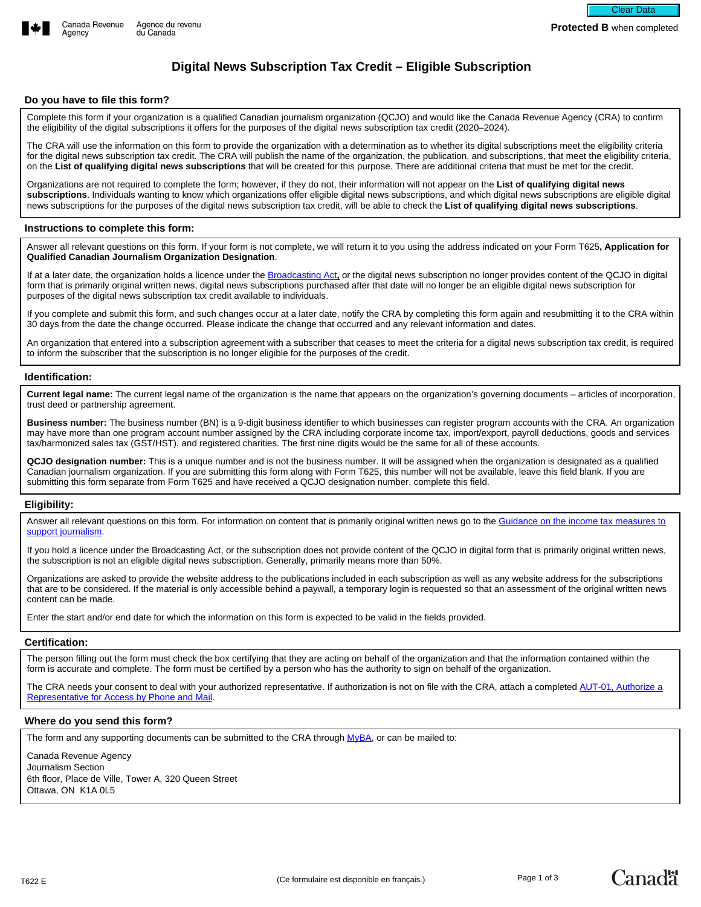



# **Digital News Subscription Tax Credit – Eligible Subscription**

## **Do you have to file this form?**

Complete this form if your organization is a qualified Canadian journalism organization (QCJO) and would like the Canada Revenue Agency (CRA) to confirm the eligibility of the digital subscriptions it offers for the purposes of the digital news subscription tax credit (2020–2024).

The CRA will use the information on this form to provide the organization with a determination as to whether its digital subscriptions meet the eligibility criteria for the digital news subscription tax credit. The CRA will publish the name of the organization, the publication, and subscriptions, that meet the eligibility criteria, on the **List of qualifying digital news subscriptions** that will be created for this purpose. There are additional criteria that must be met for the credit.

Organizations are not required to complete the form; however, if they do not, their information will not appear on the **List of qualifying digital news subscriptions**. Individuals wanting to know which organizations offer eligible digital news subscriptions, and which digital news subscriptions are eligible digital news subscriptions for the purposes of the digital news subscription tax credit, will be able to check the **List of qualifying digital news subscriptions**.

# **Instructions to complete this form:**

Answer all relevant questions on this form. If your form is not complete, we will return it to you using the address indicated on your Form T625**, Application for Qualified Canadian Journalism Organization Designation**.

If at a later date, the organization holds a licence under the [Broadcasting Act](https://laws-lois.justice.gc.ca/eng/acts/B-9.01/FullText.html)**,** or the digital news subscription no longer provides content of the QCJO in digital form that is primarily original written news, digital news subscriptions purchased after that date will no longer be an eligible digital news subscription for purposes of the digital news subscription tax credit available to individuals.

If you complete and submit this form, and such changes occur at a later date, notify the CRA by completing this form again and resubmitting it to the CRA within 30 days from the date the change occurred. Please indicate the change that occurred and any relevant information and dates.

An organization that entered into a subscription agreement with a subscriber that ceases to meet the criteria for a digital news subscription tax credit, is required to inform the subscriber that the subscription is no longer eligible for the purposes of the credit.

#### **Identification:**

**Current legal name:** The current legal name of the organization is the name that appears on the organization's governing documents – articles of incorporation, trust deed or partnership agreement.

**Business number:** The business number (BN) is a 9-digit business identifier to which businesses can register program accounts with the CRA. An organization may have more than one program account number assigned by the CRA including corporate income tax, import/export, payroll deductions, goods and services tax/harmonized sales tax (GST/HST), and registered charities. The first nine digits would be the same for all of these accounts.

**QCJO designation number:** This is a unique number and is not the business number. It will be assigned when the organization is designated as a qualified Canadian journalism organization. If you are submitting this form along with Form T625, this number will not be available, leave this field blank. If you are submitting this form separate from Form T625 and have received a QCJO designation number, complete this field.

#### **Eligibility:**

Answer all relevant questions on this form. For information on content that is primarily original written news go to the Guidance on the income tax measures to [support journalism.](https://www.canada.ca/en/revenue-agency/services/tax/businesses/topics/corporations/business-tax-credits/canadian-journalism-labour-tax-credit/guidance.html)

If you hold a licence under the Broadcasting Act, or the subscription does not provide content of the QCJO in digital form that is primarily original written news, the subscription is not an eligible digital news subscription. Generally, primarily means more than 50%.

Organizations are asked to provide the website address to the publications included in each subscription as well as any website address for the subscriptions that are to be considered. If the material is only accessible behind a paywall, a temporary login is requested so that an assessment of the original written news content can be made.

Enter the start and/or end date for which the information on this form is expected to be valid in the fields provided.

#### **Certification:**

The person filling out the form must check the box certifying that they are acting on behalf of the organization and that the information contained within the form is accurate and complete. The form must be certified by a person who has the authority to sign on behalf of the organization.

The CRA nee[d](https://www.canada.ca/en/revenue-agency/services/forms-publications/forms/aut-01.html)s your consent to deal with your authorized representative. If authorization is not on file with the CRA, attach a completed AUT-01, Authorize a [Representative for Access by Phone and Mail](https://www.canada.ca/en/revenue-agency/services/forms-publications/forms/aut-01.html).

#### **Where do you send this form?**

The form and any supporting documents can be submitted to the CRA through [MyBA,](https://www.canada.ca/en/revenue-agency/services/e-services/e-services-businesses/business-account.html) or can be mailed to:

Canada Revenue Agency Journalism Section 6th floor, Place de Ville, Tower A, 320 Queen Street Ottawa, ON K1A 0L5

**Canadä**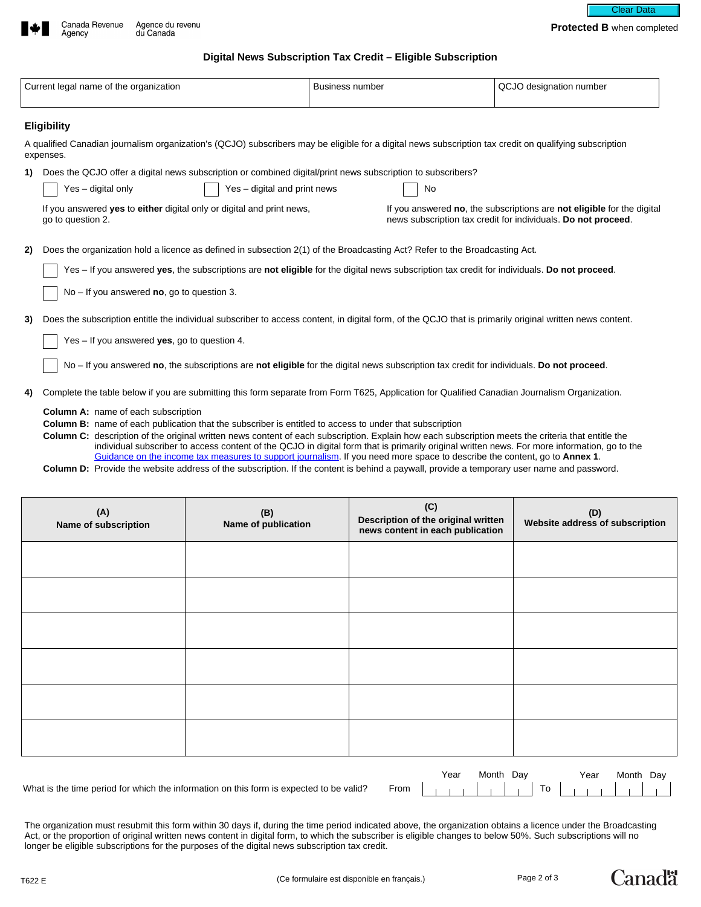

Agency



**Protected B** when completed

# **Digital News Subscription Tax Credit – Eligible Subscription**

|                                                                                                                                                                | Current legal name of the organization                                                                                                                                                                                                                                                                                                                                                                                          | <b>Business number</b> | QCJO designation number                                                                                                                 |  |  |  |
|----------------------------------------------------------------------------------------------------------------------------------------------------------------|---------------------------------------------------------------------------------------------------------------------------------------------------------------------------------------------------------------------------------------------------------------------------------------------------------------------------------------------------------------------------------------------------------------------------------|------------------------|-----------------------------------------------------------------------------------------------------------------------------------------|--|--|--|
|                                                                                                                                                                | <b>Eligibility</b>                                                                                                                                                                                                                                                                                                                                                                                                              |                        |                                                                                                                                         |  |  |  |
|                                                                                                                                                                | A qualified Canadian journalism organization's (QCJO) subscribers may be eligible for a digital news subscription tax credit on qualifying subscription<br>expenses.                                                                                                                                                                                                                                                            |                        |                                                                                                                                         |  |  |  |
| 1)                                                                                                                                                             | Does the QCJO offer a digital news subscription or combined digital/print news subscription to subscribers?                                                                                                                                                                                                                                                                                                                     |                        |                                                                                                                                         |  |  |  |
|                                                                                                                                                                | Yes - digital only<br>Yes - digital and print news                                                                                                                                                                                                                                                                                                                                                                              | No                     |                                                                                                                                         |  |  |  |
|                                                                                                                                                                | If you answered <b>yes</b> to <b>either</b> digital only or digital and print news,<br>go to question 2.                                                                                                                                                                                                                                                                                                                        |                        | If you answered no, the subscriptions are not eligible for the digital<br>news subscription tax credit for individuals. Do not proceed. |  |  |  |
| 2)                                                                                                                                                             | Does the organization hold a licence as defined in subsection 2(1) of the Broadcasting Act? Refer to the Broadcasting Act.                                                                                                                                                                                                                                                                                                      |                        |                                                                                                                                         |  |  |  |
|                                                                                                                                                                | Yes - If you answered yes, the subscriptions are not eligible for the digital news subscription tax credit for individuals. Do not proceed.                                                                                                                                                                                                                                                                                     |                        |                                                                                                                                         |  |  |  |
|                                                                                                                                                                | $No - If you answered no, go to question 3.$                                                                                                                                                                                                                                                                                                                                                                                    |                        |                                                                                                                                         |  |  |  |
| Does the subscription entitle the individual subscriber to access content, in digital form, of the QCJO that is primarily original written news content.<br>3) |                                                                                                                                                                                                                                                                                                                                                                                                                                 |                        |                                                                                                                                         |  |  |  |
|                                                                                                                                                                | Yes $-$ If you answered yes, go to question 4.                                                                                                                                                                                                                                                                                                                                                                                  |                        |                                                                                                                                         |  |  |  |
|                                                                                                                                                                | No - If you answered no, the subscriptions are not eligible for the digital news subscription tax credit for individuals. Do not proceed.                                                                                                                                                                                                                                                                                       |                        |                                                                                                                                         |  |  |  |
| 4)                                                                                                                                                             | Complete the table below if you are submitting this form separate from Form T625, Application for Qualified Canadian Journalism Organization.                                                                                                                                                                                                                                                                                   |                        |                                                                                                                                         |  |  |  |
|                                                                                                                                                                | <b>Column A:</b> name of each subscription                                                                                                                                                                                                                                                                                                                                                                                      |                        |                                                                                                                                         |  |  |  |
|                                                                                                                                                                | <b>Column B:</b> name of each publication that the subscriber is entitled to access to under that subscription                                                                                                                                                                                                                                                                                                                  |                        |                                                                                                                                         |  |  |  |
|                                                                                                                                                                | Column C: description of the original written news content of each subscription. Explain how each subscription meets the criteria that entitle the<br>individual subscriber to access content of the QCJO in digital form that is primarily original written news. For more information, go to the<br>Guidance on the income tax measures to support journalism. If you need more space to describe the content, go to Annex 1. |                        |                                                                                                                                         |  |  |  |

**Column D:** Provide the website address of the subscription. If the content is behind a paywall, provide a temporary user name and password.

| (A)<br>Name of subscription | (B)<br>Name of publication | (C)<br>Description of the original written<br>news content in each publication | (D)<br>Website address of subscription |
|-----------------------------|----------------------------|--------------------------------------------------------------------------------|----------------------------------------|
|                             |                            |                                                                                |                                        |
|                             |                            |                                                                                |                                        |
|                             |                            |                                                                                |                                        |
|                             |                            |                                                                                |                                        |
|                             |                            |                                                                                |                                        |
|                             |                            |                                                                                |                                        |
|                             |                            | Voor Month Dou                                                                 | Versitz Martin Dr.                     |

What is the time period for which the information on this form is expected to be valid? From

| Year Month Day |  | Year Month Day |  |
|----------------|--|----------------|--|
|                |  |                |  |

The organization must resubmit this form within 30 days if, during the time period indicated above, the organization obtains a licence under the Broadcasting Act, or the proportion of original written news content in digital form, to which the subscriber is eligible changes to below 50%. Such subscriptions will no longer be eligible subscriptions for the purposes of the digital news subscription tax credit.

**Canadä**